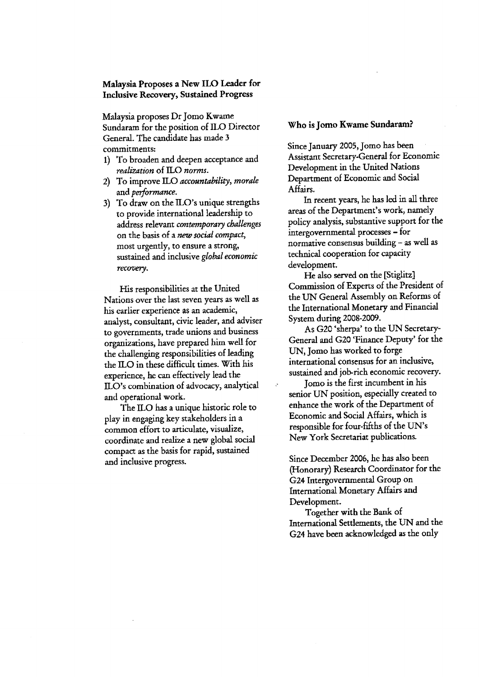## Malaysia Proposes a New ILO Leader for Inclusive Recovery, Sustained Progress

Malaysia proposes Dr Jomo Kwame Sundaram for the position of ILO Director General. The candidate has made 3 commitments:

- 1) To broaden and deepen acceptance and realization of ILO norms.
- 2) To improve ILO accountability, morale and performance.
- 3) To draw on the ILO's unique strengths to provide international leadership to address relevant contemporary challenges on the basis of a new social compact, most urgently, to ensure a strong' sustained and inclusive global economic recovery.

His responsibilities at the United Nations over the last seven years as well as his earlier experience as an academic, analyst, consultant, civic leader, and adviser to governments, trade unions and business organizations, have prepared him well for the challenging responsibilities of leading the ILO in these difficult times. With his experience, he can effectively lead the ILO's combination of advocacy, analytical and operational work.

The ILO has a unique historic role to play in engaging key stakeholders in a common effort to articulate, visualize, coordinate and realize a new global social compact as the basis for rapid, sustained and inclusive progress.

## Who is Jomo Kwame Sundaram?

Since January 2005, Jomo has been Assistant Secretary-General for Economic Development in the United Nations Department of Economic and Social Affairs.

In recent years, he has led in all three areas of the Department's work, namely policy analysis, substantive support for the intergovernmental processes - for normative consensus building - as well as technical cooperatior for capacity development.

He also served on the [Stiglitz] Commission of Experts of the President of the UN General Assembly on Reforms of the International Monetary and Financial System during 2008-2009.

As G20'sherpa'to the UN Secretary-General and G20 'Finauce Deputy' for the UN, Jomo has worked to forge international consensus for an inclusive, sustained and job-rich economic recovery.

Jomo is the first incumbent in his senior UN position, especially created to enhance the work of the Department of Economic and Social Affairs, which is responsible for four-fifths of the IIN's New York Secretariat publications.

 $\mathcal{S}$ 

Since December 2005, he has also been (Flonorary) Research Coordinator for the G24 Intergovernmental Group on International Monetary Affairs and Development.

Together with the Bank of International Settlements, the UN and the G24 have been acknowledged as the only